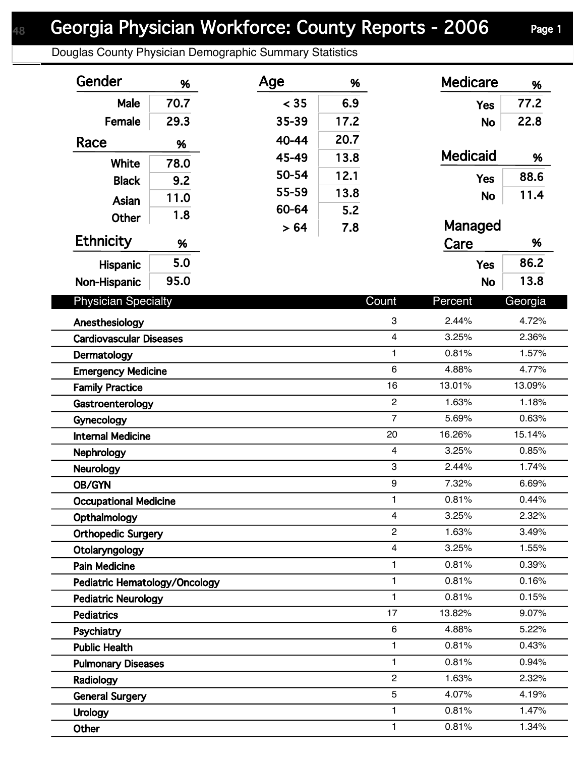Douglas County Physician Demographic Summary Statistics

| Gender                                           | %    | Age       | %    |                | <b>Medicare</b> | %       |  |
|--------------------------------------------------|------|-----------|------|----------------|-----------------|---------|--|
| Male                                             | 70.7 | < 35      | 6.9  |                | <b>Yes</b>      | 77.2    |  |
| Female                                           | 29.3 | 35-39     | 17.2 |                | No              | 22.8    |  |
| Race                                             | %    | $40 - 44$ | 20.7 |                |                 |         |  |
|                                                  |      | 45-49     | 13.8 |                | <b>Medicaid</b> | %       |  |
| <b>White</b>                                     | 78.0 | 50-54     | 12.1 |                |                 | 88.6    |  |
| <b>Black</b>                                     | 9.2  | 55-59     | 13.8 |                | <b>Yes</b>      |         |  |
| Asian                                            | 11.0 | 60-64     | 5.2  |                | <b>No</b>       | 11.4    |  |
| <b>Other</b>                                     | 1.8  | >64       | 7.8  |                | Managed         |         |  |
| <b>Ethnicity</b>                                 | %    |           |      |                | Care            | %       |  |
| Hispanic                                         | 5.0  |           |      |                | <b>Yes</b>      | 86.2    |  |
| Non-Hispanic                                     | 95.0 |           |      |                | <b>No</b>       | 13.8    |  |
|                                                  |      |           |      |                |                 |         |  |
| <b>Physician Specialty</b>                       |      |           |      | Count          | Percent         | Georgia |  |
| Anesthesiology                                   |      |           |      | 3              | 2.44%           | 4.72%   |  |
| $\overline{4}$<br><b>Cardiovascular Diseases</b> |      |           |      | 3.25%          | 2.36%           |         |  |
| $\mathbf{1}$<br>Dermatology                      |      |           |      | 0.81%          | 1.57%           |         |  |
| 6<br><b>Emergency Medicine</b>                   |      |           |      | 4.88%          | 4.77%           |         |  |
| <b>Family Practice</b>                           |      |           |      | 16             | 13.01%          | 13.09%  |  |
| Gastroenterology                                 |      |           |      | $\overline{2}$ | 1.63%           | 1.18%   |  |
| Gynecology                                       |      |           |      | $\overline{7}$ | 5.69%           | 0.63%   |  |
| <b>Internal Medicine</b>                         |      |           |      | 20             | 16.26%          | 15.14%  |  |
| Nephrology                                       |      |           |      | $\overline{4}$ | 3.25%           | 0.85%   |  |
| <b>Neurology</b>                                 |      |           |      | 3              | 2.44%           | 1.74%   |  |
| $\boldsymbol{9}$<br>OB/GYN                       |      |           |      | 7.32%          | 6.69%           |         |  |
| <b>Occupational Medicine</b>                     |      |           |      | 1              | 0.81%           | 0.44%   |  |
| 4<br>Opthalmology                                |      |           |      | 3.25%          | 2.32%           |         |  |
| $\overline{c}$<br><b>Orthopedic Surgery</b>      |      |           |      | 1.63%          | 3.49%           |         |  |
| $\overline{4}$<br>Otolaryngology<br>$\mathbf{1}$ |      |           |      | 3.25%          | 1.55%           |         |  |
| <b>Pain Medicine</b>                             |      |           | 1    | 0.81%<br>0.81% | 0.39%<br>0.16%  |         |  |
| Pediatric Hematology/Oncology                    |      |           |      | $\mathbf{1}$   | 0.81%           | 0.15%   |  |
| <b>Pediatric Neurology</b>                       |      |           |      | 17             | 13.82%          | 9.07%   |  |
| <b>Pediatrics</b>                                |      |           |      | 6              | 4.88%           | 5.22%   |  |
| Psychiatry                                       |      |           |      | $\mathbf{1}$   | 0.81%           | 0.43%   |  |
| <b>Public Health</b>                             |      |           |      | 1              | 0.81%           | 0.94%   |  |
| <b>Pulmonary Diseases</b>                        |      |           |      | $\overline{c}$ | 1.63%           | 2.32%   |  |
| Radiology                                        |      |           |      | 5              | 4.07%           | 4.19%   |  |
| <b>General Surgery</b>                           |      |           |      | 1              | 0.81%           | 1.47%   |  |
| <b>Urology</b>                                   |      |           |      | 1              | 0.81%           | 1.34%   |  |
| Other                                            |      |           |      |                |                 |         |  |